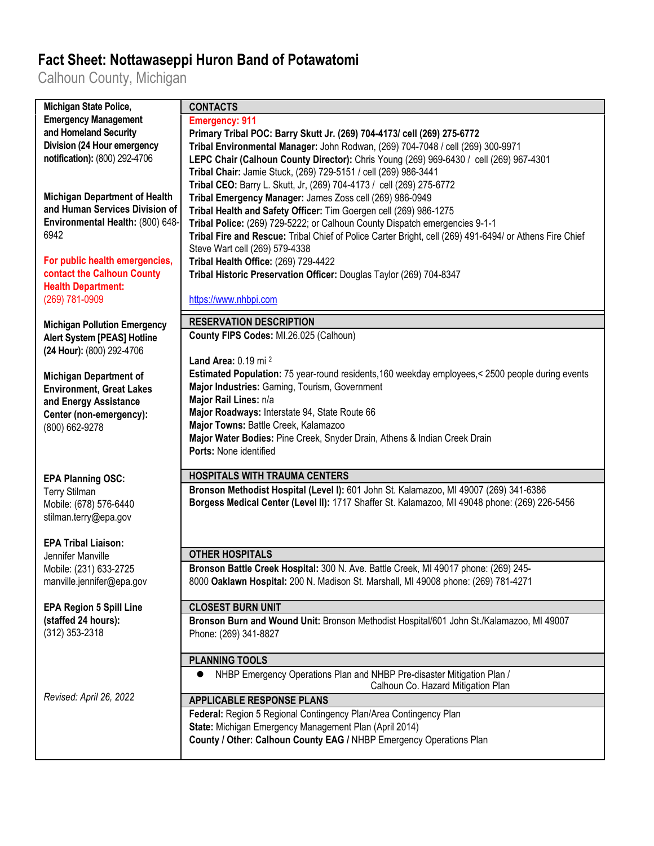## **Fact Sheet: Nottawaseppi Huron Band of Potawatomi**

Calhoun County, Michigan

| <b>Michigan State Police,</b>        | <b>CONTACTS</b>                                                                                         |
|--------------------------------------|---------------------------------------------------------------------------------------------------------|
| <b>Emergency Management</b>          | <b>Emergency: 911</b>                                                                                   |
| and Homeland Security                | Primary Tribal POC: Barry Skutt Jr. (269) 704-4173/ cell (269) 275-6772                                 |
| Division (24 Hour emergency          | Tribal Environmental Manager: John Rodwan, (269) 704-7048 / cell (269) 300-9971                         |
| notification): (800) 292-4706        | LEPC Chair (Calhoun County Director): Chris Young (269) 969-6430 / cell (269) 967-4301                  |
|                                      | Tribal Chair: Jamie Stuck, (269) 729-5151 / cell (269) 986-3441                                         |
|                                      | Tribal CEO: Barry L. Skutt, Jr, (269) 704-4173 / cell (269) 275-6772                                    |
| <b>Michigan Department of Health</b> | Tribal Emergency Manager: James Zoss cell (269) 986-0949                                                |
| and Human Services Division of       | Tribal Health and Safety Officer: Tim Goergen cell (269) 986-1275                                       |
| Environmental Health: (800) 648-     | Tribal Police: (269) 729-5222; or Calhoun County Dispatch emergencies 9-1-1                             |
| 6942                                 | Tribal Fire and Rescue: Tribal Chief of Police Carter Bright, cell (269) 491-6494/ or Athens Fire Chief |
|                                      | Steve Wart cell (269) 579-4338                                                                          |
| For public health emergencies,       | Tribal Health Office: (269) 729-4422                                                                    |
| contact the Calhoun County           | Tribal Historic Preservation Officer: Douglas Taylor (269) 704-8347                                     |
| <b>Health Department:</b>            |                                                                                                         |
| (269) 781-0909                       | https://www.nhbpi.com                                                                                   |
|                                      |                                                                                                         |
| <b>Michigan Pollution Emergency</b>  | <b>RESERVATION DESCRIPTION</b>                                                                          |
| <b>Alert System [PEAS] Hotline</b>   | County FIPS Codes: MI.26.025 (Calhoun)                                                                  |
| (24 Hour): (800) 292-4706            |                                                                                                         |
|                                      | Land Area: 0.19 mi <sup>2</sup>                                                                         |
| <b>Michigan Department of</b>        | Estimated Population: 75 year-round residents, 160 weekday employees, < 2500 people during events       |
| <b>Environment, Great Lakes</b>      | Major Industries: Gaming, Tourism, Government                                                           |
| and Energy Assistance                | Major Rail Lines: n/a                                                                                   |
| Center (non-emergency):              | Major Roadways: Interstate 94, State Route 66                                                           |
| (800) 662-9278                       | Major Towns: Battle Creek, Kalamazoo                                                                    |
|                                      | Major Water Bodies: Pine Creek, Snyder Drain, Athens & Indian Creek Drain                               |
|                                      | Ports: None identified                                                                                  |
|                                      |                                                                                                         |
| <b>EPA Planning OSC:</b>             | <b>HOSPITALS WITH TRAUMA CENTERS</b>                                                                    |
| <b>Terry Stilman</b>                 | Bronson Methodist Hospital (Level I): 601 John St. Kalamazoo, MI 49007 (269) 341-6386                   |
| Mobile: (678) 576-6440               | Borgess Medical Center (Level II): 1717 Shaffer St. Kalamazoo, MI 49048 phone: (269) 226-5456           |
| stilman.terry@epa.gov                |                                                                                                         |
|                                      |                                                                                                         |
| <b>EPA Tribal Liaison:</b>           |                                                                                                         |
| Jennifer Manville                    | <b>OTHER HOSPITALS</b>                                                                                  |
| Mobile: (231) 633-2725               | Bronson Battle Creek Hospital: 300 N. Ave. Battle Creek, MI 49017 phone: (269) 245-                     |
| manville.jennifer@epa.gov            | 8000 Oaklawn Hospital: 200 N. Madison St. Marshall, MI 49008 phone: (269) 781-4271                      |
|                                      |                                                                                                         |
| <b>EPA Region 5 Spill Line</b>       | <b>CLOSEST BURN UNIT</b>                                                                                |
| (staffed 24 hours):                  | Bronson Burn and Wound Unit: Bronson Methodist Hospital/601 John St./Kalamazoo, MI 49007                |
| (312) 353-2318                       | Phone: (269) 341-8827                                                                                   |
|                                      |                                                                                                         |
|                                      | <b>PLANNING TOOLS</b>                                                                                   |
|                                      | NHBP Emergency Operations Plan and NHBP Pre-disaster Mitigation Plan /                                  |
|                                      | Calhoun Co. Hazard Mitigation Plan                                                                      |
| Revised: April 26, 2022              | <b>APPLICABLE RESPONSE PLANS</b>                                                                        |
|                                      | Federal: Region 5 Regional Contingency Plan/Area Contingency Plan                                       |
|                                      |                                                                                                         |
|                                      |                                                                                                         |
|                                      | State: Michigan Emergency Management Plan (April 2014)                                                  |
|                                      | County / Other: Calhoun County EAG / NHBP Emergency Operations Plan                                     |